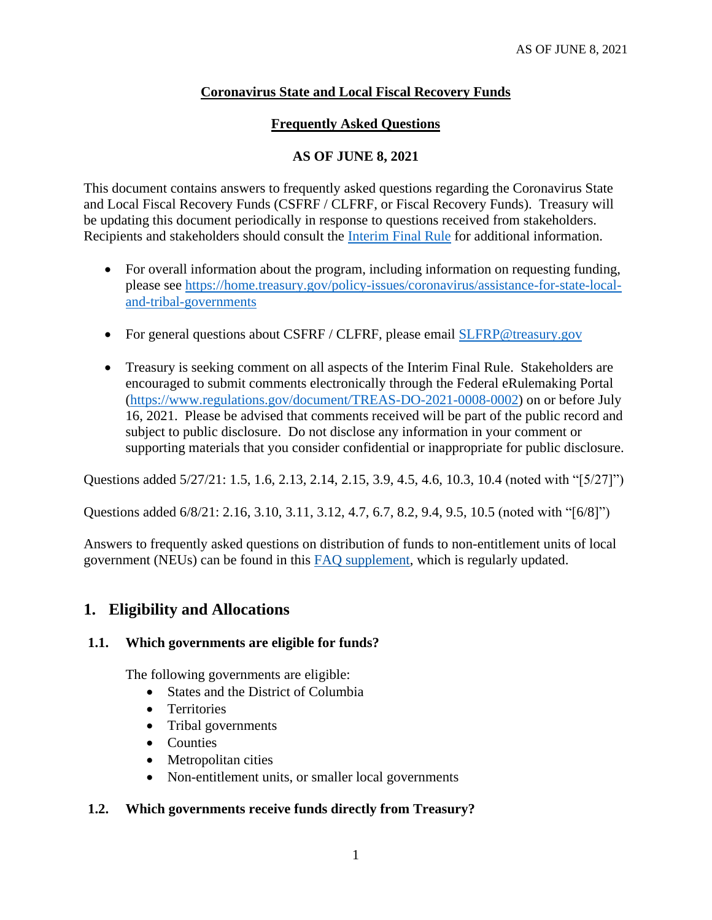# **Coronavirus State and Local Fiscal Recovery Funds**

## **Frequently Asked Questions**

## **AS OF JUNE 8, 2021**

This document contains answers to frequently asked questions regarding the Coronavirus State and Local Fiscal Recovery Funds (CSFRF / CLFRF, or Fiscal Recovery Funds). Treasury will be updating this document periodically in response to questions received from stakeholders. Recipients and stakeholders should consult the [Interim Final Rule](https://www.govinfo.gov/content/pkg/FR-2021-05-17/pdf/2021-10283.pdf) for additional information.

- For overall information about the program, including information on requesting funding, please see [https://home.treasury.gov/policy-issues/coronavirus/assistance-for-state-local](https://home.treasury.gov/policy-issues/coronavirus/assistance-for-state-local-and-tribal-governments)[and-tribal-governments](https://home.treasury.gov/policy-issues/coronavirus/assistance-for-state-local-and-tribal-governments)
- For general questions about CSFRF / CLFRF, please email [SLFRP@treasury.gov](mailto:SLFRP@treasury.gov)
- Treasury is seeking comment on all aspects of the Interim Final Rule. Stakeholders are encouraged to submit comments electronically through the Federal eRulemaking Portal [\(https://www.regulations.gov/document/TREAS-DO-2021-0008-0002\)](https://www.regulations.gov/document/TREAS-DO-2021-0008-0002) on or before July 16, 2021. Please be advised that comments received will be part of the public record and subject to public disclosure. Do not disclose any information in your comment or supporting materials that you consider confidential or inappropriate for public disclosure.

Questions added 5/27/21: [1.5,](#page-1-0) [1.6,](#page-1-1) [2.13,](#page-6-0) [2.14,](#page-6-1) [2.15,](#page-7-0) [3.9,](#page-10-0) [4.5,](#page-12-0) [4.6,](#page-12-1) [10.3,](#page-21-0) [10.4](#page-21-1) (noted with "[5/27]")

Questions added 6/8/21: [2.16,](#page-7-1) [3.10,](#page-11-0) [3.11,](#page-11-1) [3.12,](#page-11-2) [4.7,](#page-13-0) [6.7,](#page-16-0) [8.2,](#page-18-0) [9.4,](#page-19-0) [9.5,](#page-20-0) [10.5](#page-22-0) (noted with "[6/8]")

Answers to frequently asked questions on distribution of funds to non-entitlement units of local government (NEUs) can be found in this [FAQ supplement,](https://home.treasury.gov/system/files/136/NEU-FAQs.pdf) which is regularly updated.

# **1. Eligibility and Allocations**

## **1.1. Which governments are eligible for funds?**

The following governments are eligible:

- States and the District of Columbia
- Territories
- Tribal governments
- Counties
- Metropolitan cities
- Non-entitlement units, or smaller local governments

## **1.2. Which governments receive funds directly from Treasury?**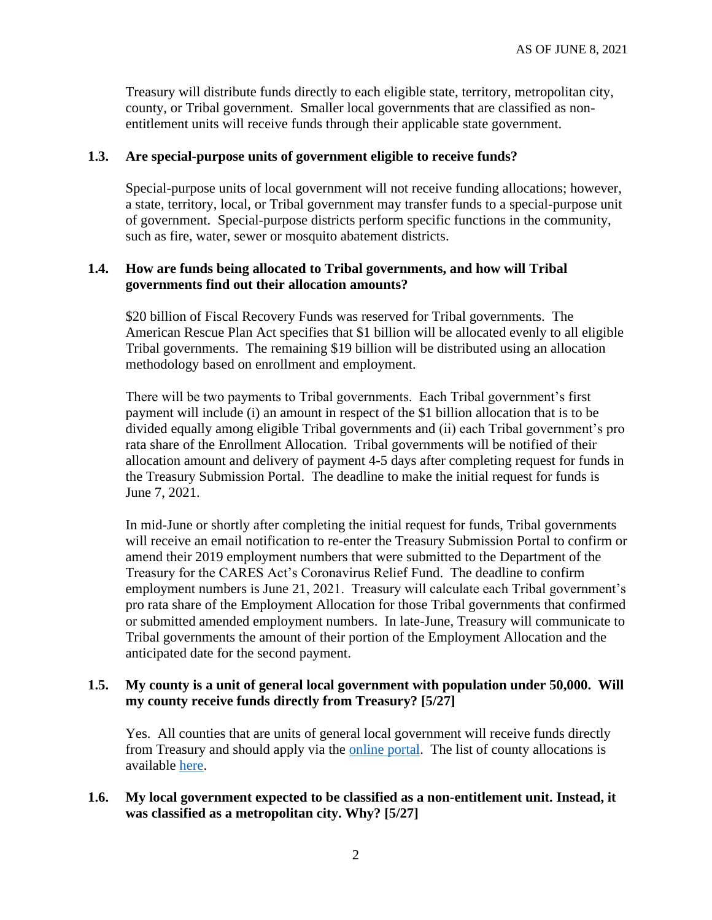Treasury will distribute funds directly to each eligible state, territory, metropolitan city, county, or Tribal government. Smaller local governments that are classified as nonentitlement units will receive funds through their applicable state government.

#### **1.3. Are special-purpose units of government eligible to receive funds?**

Special-purpose units of local government will not receive funding allocations; however, a state, territory, local, or Tribal government may transfer funds to a special-purpose unit of government. Special-purpose districts perform specific functions in the community, such as fire, water, sewer or mosquito abatement districts.

## **1.4. How are funds being allocated to Tribal governments, and how will Tribal governments find out their allocation amounts?**

\$20 billion of Fiscal Recovery Funds was reserved for Tribal governments. The American Rescue Plan Act specifies that \$1 billion will be allocated evenly to all eligible Tribal governments. The remaining \$19 billion will be distributed using an allocation methodology based on enrollment and employment.

There will be two payments to Tribal governments. Each Tribal government's first payment will include (i) an amount in respect of the \$1 billion allocation that is to be divided equally among eligible Tribal governments and (ii) each Tribal government's pro rata share of the Enrollment Allocation. Tribal governments will be notified of their allocation amount and delivery of payment 4-5 days after completing request for funds in the Treasury Submission Portal. The deadline to make the initial request for funds is June 7, 2021.

In mid-June or shortly after completing the initial request for funds, Tribal governments will receive an email notification to re-enter the Treasury Submission Portal to confirm or amend their 2019 employment numbers that were submitted to the Department of the Treasury for the CARES Act's Coronavirus Relief Fund. The deadline to confirm employment numbers is June 21, 2021. Treasury will calculate each Tribal government's pro rata share of the Employment Allocation for those Tribal governments that confirmed or submitted amended employment numbers. In late-June, Treasury will communicate to Tribal governments the amount of their portion of the Employment Allocation and the anticipated date for the second payment.

### <span id="page-1-0"></span>**1.5. My county is a unit of general local government with population under 50,000. Will my county receive funds directly from Treasury? [5/27]**

Yes. All counties that are units of general local government will receive funds directly from Treasury and should apply via the [online portal.](https://home.treasury.gov/policy-issues/coronavirus/assistance-for-state-local-and-tribal-governments/state-and-local-fiscal-recovery-fund/request-funding) The list of county allocations is available [here.](https://home.treasury.gov/system/files/136/fiscalrecoveryfunds_countyfunding_2021.05.10-1a-508A.pdf)

#### <span id="page-1-1"></span>**1.6. My local government expected to be classified as a non-entitlement unit. Instead, it was classified as a metropolitan city. Why? [5/27]**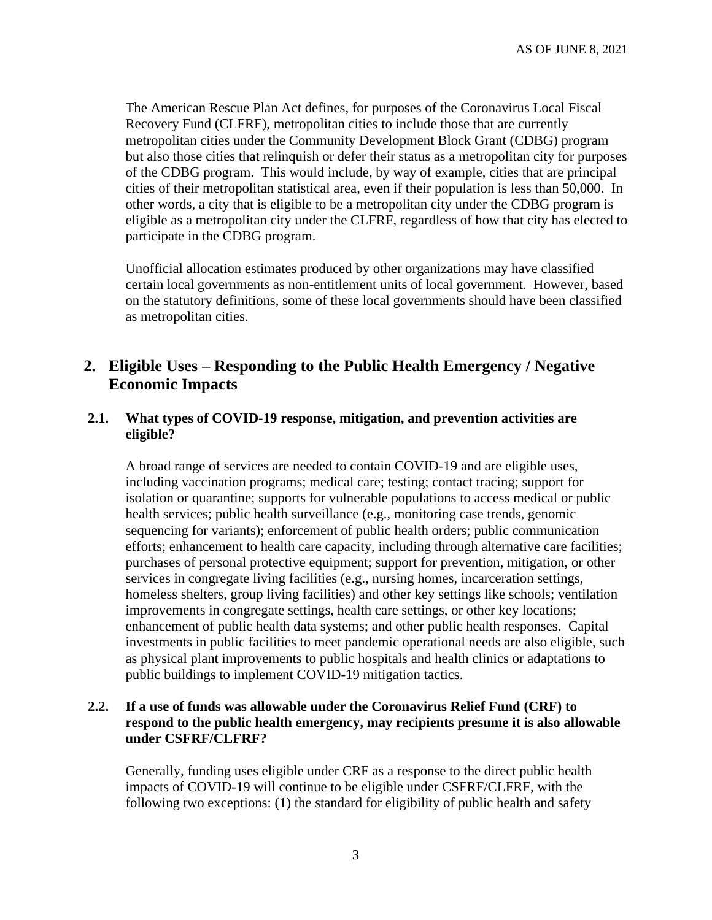The American Rescue Plan Act defines, for purposes of the Coronavirus Local Fiscal Recovery Fund (CLFRF), metropolitan cities to include those that are currently metropolitan cities under the Community Development Block Grant (CDBG) program but also those cities that relinquish or defer their status as a metropolitan city for purposes of the CDBG program. This would include, by way of example, cities that are principal cities of their metropolitan statistical area, even if their population is less than 50,000. In other words, a city that is eligible to be a metropolitan city under the CDBG program is eligible as a metropolitan city under the CLFRF, regardless of how that city has elected to participate in the CDBG program.

Unofficial allocation estimates produced by other organizations may have classified certain local governments as non-entitlement units of local government. However, based on the statutory definitions, some of these local governments should have been classified as metropolitan cities.

# **2. Eligible Uses – Responding to the Public Health Emergency / Negative Economic Impacts**

### **2.1. What types of COVID-19 response, mitigation, and prevention activities are eligible?**

A broad range of services are needed to contain COVID-19 and are eligible uses, including vaccination programs; medical care; testing; contact tracing; support for isolation or quarantine; supports for vulnerable populations to access medical or public health services; public health surveillance (e.g., monitoring case trends, genomic sequencing for variants); enforcement of public health orders; public communication efforts; enhancement to health care capacity, including through alternative care facilities; purchases of personal protective equipment; support for prevention, mitigation, or other services in congregate living facilities (e.g., nursing homes, incarceration settings, homeless shelters, group living facilities) and other key settings like schools; ventilation improvements in congregate settings, health care settings, or other key locations; enhancement of public health data systems; and other public health responses. Capital investments in public facilities to meet pandemic operational needs are also eligible, such as physical plant improvements to public hospitals and health clinics or adaptations to public buildings to implement COVID-19 mitigation tactics.

## **2.2. If a use of funds was allowable under the Coronavirus Relief Fund (CRF) to respond to the public health emergency, may recipients presume it is also allowable under CSFRF/CLFRF?**

Generally, funding uses eligible under CRF as a response to the direct public health impacts of COVID-19 will continue to be eligible under CSFRF/CLFRF, with the following two exceptions: (1) the standard for eligibility of public health and safety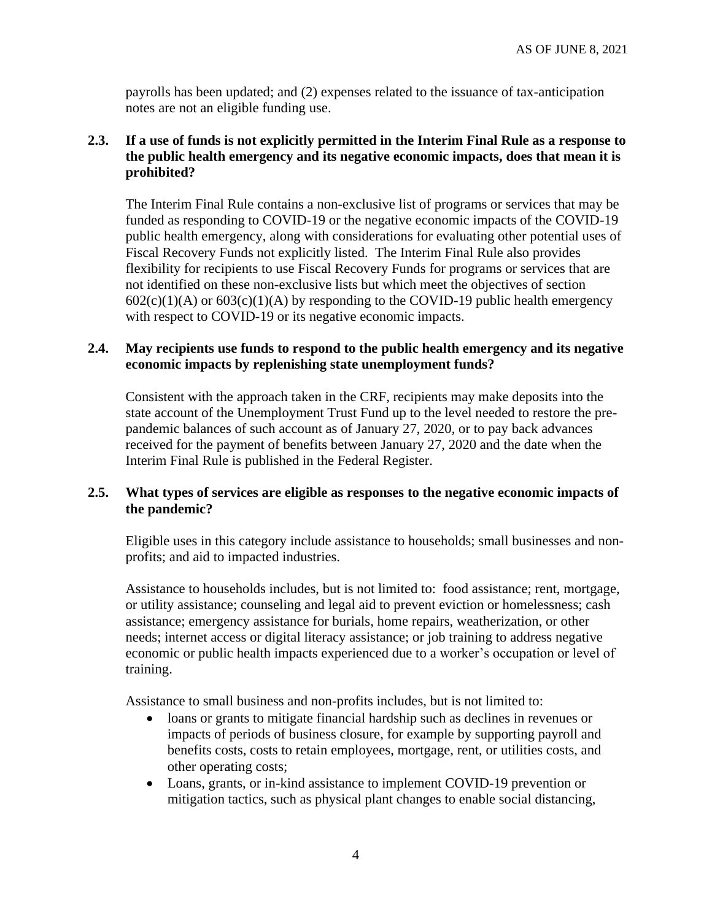payrolls has been updated; and (2) expenses related to the issuance of tax-anticipation notes are not an eligible funding use.

## **2.3. If a use of funds is not explicitly permitted in the Interim Final Rule as a response to the public health emergency and its negative economic impacts, does that mean it is prohibited?**

The Interim Final Rule contains a non-exclusive list of programs or services that may be funded as responding to COVID-19 or the negative economic impacts of the COVID-19 public health emergency, along with considerations for evaluating other potential uses of Fiscal Recovery Funds not explicitly listed. The Interim Final Rule also provides flexibility for recipients to use Fiscal Recovery Funds for programs or services that are not identified on these non-exclusive lists but which meet the objectives of section  $602(c)(1)(A)$  or  $603(c)(1)(A)$  by responding to the COVID-19 public health emergency with respect to COVID-19 or its negative economic impacts.

## **2.4. May recipients use funds to respond to the public health emergency and its negative economic impacts by replenishing state unemployment funds?**

Consistent with the approach taken in the CRF, recipients may make deposits into the state account of the Unemployment Trust Fund up to the level needed to restore the prepandemic balances of such account as of January 27, 2020, or to pay back advances received for the payment of benefits between January 27, 2020 and the date when the Interim Final Rule is published in the Federal Register.

## **2.5. What types of services are eligible as responses to the negative economic impacts of the pandemic?**

Eligible uses in this category include assistance to households; small businesses and nonprofits; and aid to impacted industries.

Assistance to households includes, but is not limited to: food assistance; rent, mortgage, or utility assistance; counseling and legal aid to prevent eviction or homelessness; cash assistance; emergency assistance for burials, home repairs, weatherization, or other needs; internet access or digital literacy assistance; or job training to address negative economic or public health impacts experienced due to a worker's occupation or level of training.

Assistance to small business and non-profits includes, but is not limited to:

- loans or grants to mitigate financial hardship such as declines in revenues or impacts of periods of business closure, for example by supporting payroll and benefits costs, costs to retain employees, mortgage, rent, or utilities costs, and other operating costs;
- Loans, grants, or in-kind assistance to implement COVID-19 prevention or mitigation tactics, such as physical plant changes to enable social distancing,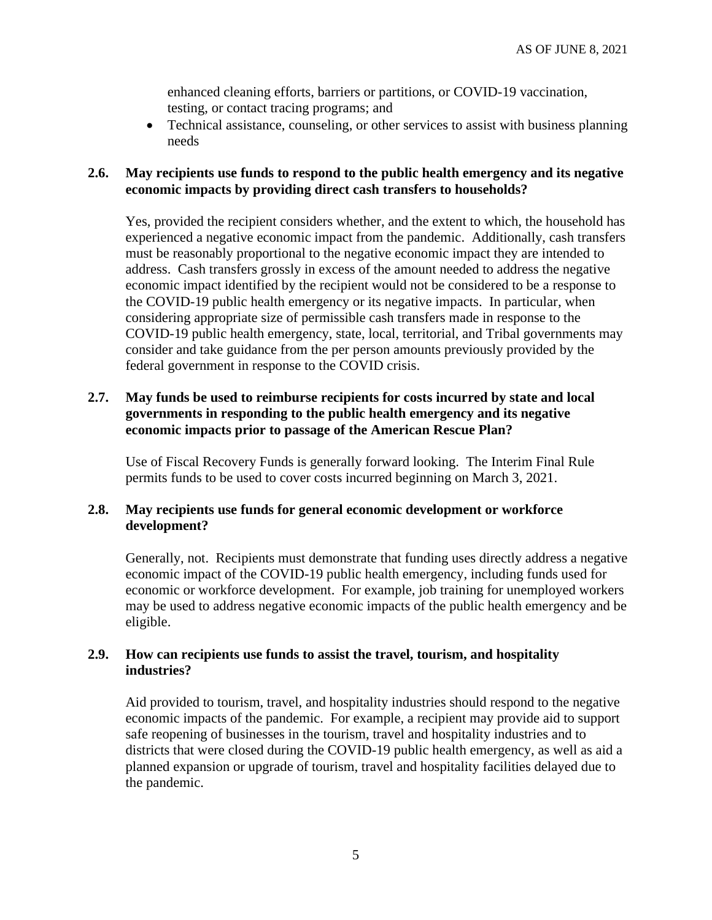enhanced cleaning efforts, barriers or partitions, or COVID-19 vaccination, testing, or contact tracing programs; and

• Technical assistance, counseling, or other services to assist with business planning needs

## **2.6. May recipients use funds to respond to the public health emergency and its negative economic impacts by providing direct cash transfers to households?**

Yes, provided the recipient considers whether, and the extent to which, the household has experienced a negative economic impact from the pandemic. Additionally, cash transfers must be reasonably proportional to the negative economic impact they are intended to address. Cash transfers grossly in excess of the amount needed to address the negative economic impact identified by the recipient would not be considered to be a response to the COVID-19 public health emergency or its negative impacts. In particular, when considering appropriate size of permissible cash transfers made in response to the COVID-19 public health emergency, state, local, territorial, and Tribal governments may consider and take guidance from the per person amounts previously provided by the federal government in response to the COVID crisis.

## **2.7. May funds be used to reimburse recipients for costs incurred by state and local governments in responding to the public health emergency and its negative economic impacts prior to passage of the American Rescue Plan?**

Use of Fiscal Recovery Funds is generally forward looking. The Interim Final Rule permits funds to be used to cover costs incurred beginning on March 3, 2021.

## **2.8. May recipients use funds for general economic development or workforce development?**

Generally, not. Recipients must demonstrate that funding uses directly address a negative economic impact of the COVID-19 public health emergency, including funds used for economic or workforce development. For example, job training for unemployed workers may be used to address negative economic impacts of the public health emergency and be eligible.

## **2.9. How can recipients use funds to assist the travel, tourism, and hospitality industries?**

Aid provided to tourism, travel, and hospitality industries should respond to the negative economic impacts of the pandemic. For example, a recipient may provide aid to support safe reopening of businesses in the tourism, travel and hospitality industries and to districts that were closed during the COVID-19 public health emergency, as well as aid a planned expansion or upgrade of tourism, travel and hospitality facilities delayed due to the pandemic.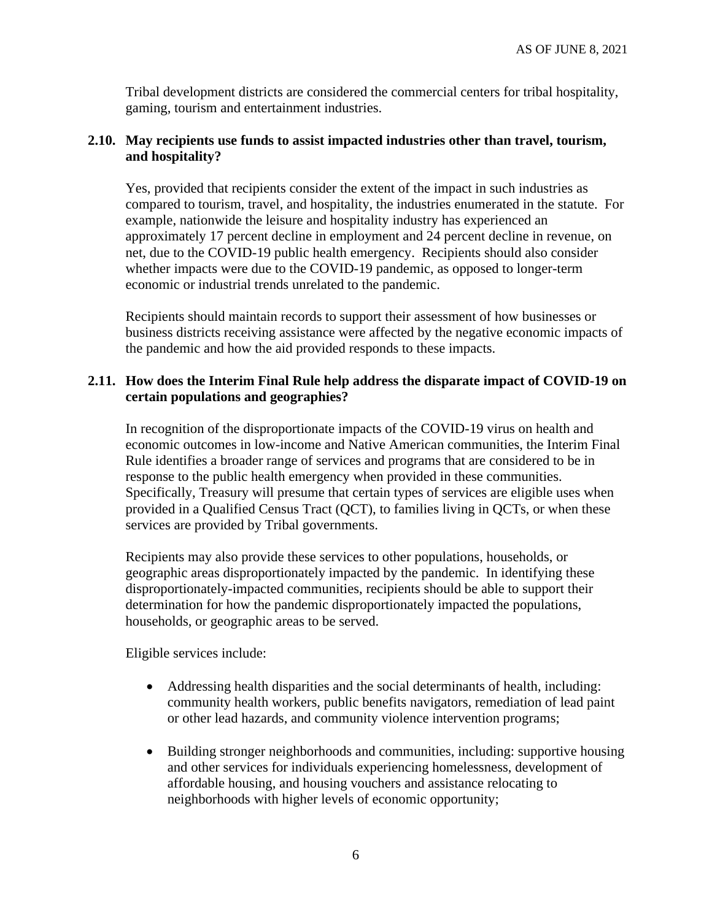Tribal development districts are considered the commercial centers for tribal hospitality, gaming, tourism and entertainment industries.

## **2.10. May recipients use funds to assist impacted industries other than travel, tourism, and hospitality?**

Yes, provided that recipients consider the extent of the impact in such industries as compared to tourism, travel, and hospitality, the industries enumerated in the statute. For example, nationwide the leisure and hospitality industry has experienced an approximately 17 percent decline in employment and 24 percent decline in revenue, on net, due to the COVID-19 public health emergency. Recipients should also consider whether impacts were due to the COVID-19 pandemic, as opposed to longer-term economic or industrial trends unrelated to the pandemic.

Recipients should maintain records to support their assessment of how businesses or business districts receiving assistance were affected by the negative economic impacts of the pandemic and how the aid provided responds to these impacts.

## **2.11. How does the Interim Final Rule help address the disparate impact of COVID-19 on certain populations and geographies?**

In recognition of the disproportionate impacts of the COVID-19 virus on health and economic outcomes in low-income and Native American communities, the Interim Final Rule identifies a broader range of services and programs that are considered to be in response to the public health emergency when provided in these communities. Specifically, Treasury will presume that certain types of services are eligible uses when provided in a Qualified Census Tract (QCT), to families living in QCTs, or when these services are provided by Tribal governments.

Recipients may also provide these services to other populations, households, or geographic areas disproportionately impacted by the pandemic. In identifying these disproportionately-impacted communities, recipients should be able to support their determination for how the pandemic disproportionately impacted the populations, households, or geographic areas to be served.

Eligible services include:

- Addressing health disparities and the social determinants of health, including: community health workers, public benefits navigators, remediation of lead paint or other lead hazards, and community violence intervention programs;
- Building stronger neighborhoods and communities, including: supportive housing and other services for individuals experiencing homelessness, development of affordable housing, and housing vouchers and assistance relocating to neighborhoods with higher levels of economic opportunity;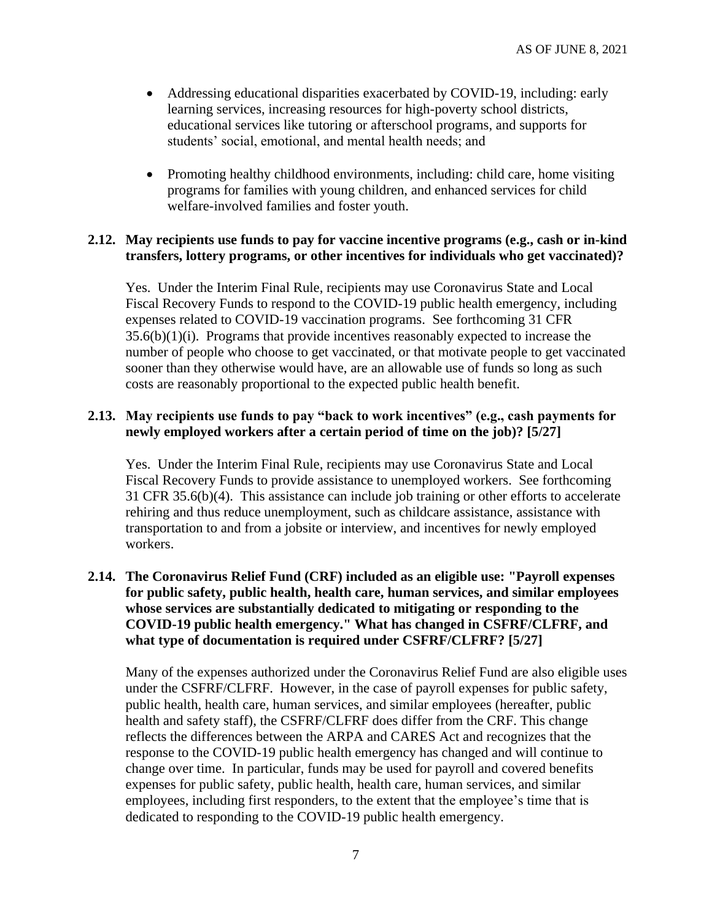- Addressing educational disparities exacerbated by COVID-19, including: early learning services, increasing resources for high-poverty school districts, educational services like tutoring or afterschool programs, and supports for students' social, emotional, and mental health needs; and
- Promoting healthy childhood environments, including: child care, home visiting programs for families with young children, and enhanced services for child welfare-involved families and foster youth.

#### **2.12. May recipients use funds to pay for vaccine incentive programs (e.g., cash or in-kind transfers, lottery programs, or other incentives for individuals who get vaccinated)?**

Yes. Under the Interim Final Rule, recipients may use Coronavirus State and Local Fiscal Recovery Funds to respond to the COVID-19 public health emergency, including expenses related to COVID-19 vaccination programs. See forthcoming 31 CFR 35.6(b)(1)(i). Programs that provide incentives reasonably expected to increase the number of people who choose to get vaccinated, or that motivate people to get vaccinated sooner than they otherwise would have, are an allowable use of funds so long as such costs are reasonably proportional to the expected public health benefit.

## <span id="page-6-0"></span>**2.13. May recipients use funds to pay "back to work incentives" (e.g., cash payments for newly employed workers after a certain period of time on the job)? [5/27]**

Yes. Under the Interim Final Rule, recipients may use Coronavirus State and Local Fiscal Recovery Funds to provide assistance to unemployed workers. See forthcoming 31 CFR 35.6(b)(4). This assistance can include job training or other efforts to accelerate rehiring and thus reduce unemployment, such as childcare assistance, assistance with transportation to and from a jobsite or interview, and incentives for newly employed workers.

## <span id="page-6-1"></span>**2.14. The Coronavirus Relief Fund (CRF) included as an eligible use: "Payroll expenses for public safety, public health, health care, human services, and similar employees whose services are substantially dedicated to mitigating or responding to the COVID-19 public health emergency." What has changed in CSFRF/CLFRF, and what type of documentation is required under CSFRF/CLFRF? [5/27]**

Many of the expenses authorized under the Coronavirus Relief Fund are also eligible uses under the CSFRF/CLFRF. However, in the case of payroll expenses for public safety, public health, health care, human services, and similar employees (hereafter, public health and safety staff), the CSFRF/CLFRF does differ from the CRF. This change reflects the differences between the ARPA and CARES Act and recognizes that the response to the COVID-19 public health emergency has changed and will continue to change over time. In particular, funds may be used for payroll and covered benefits expenses for public safety, public health, health care, human services, and similar employees, including first responders, to the extent that the employee's time that is dedicated to responding to the COVID-19 public health emergency.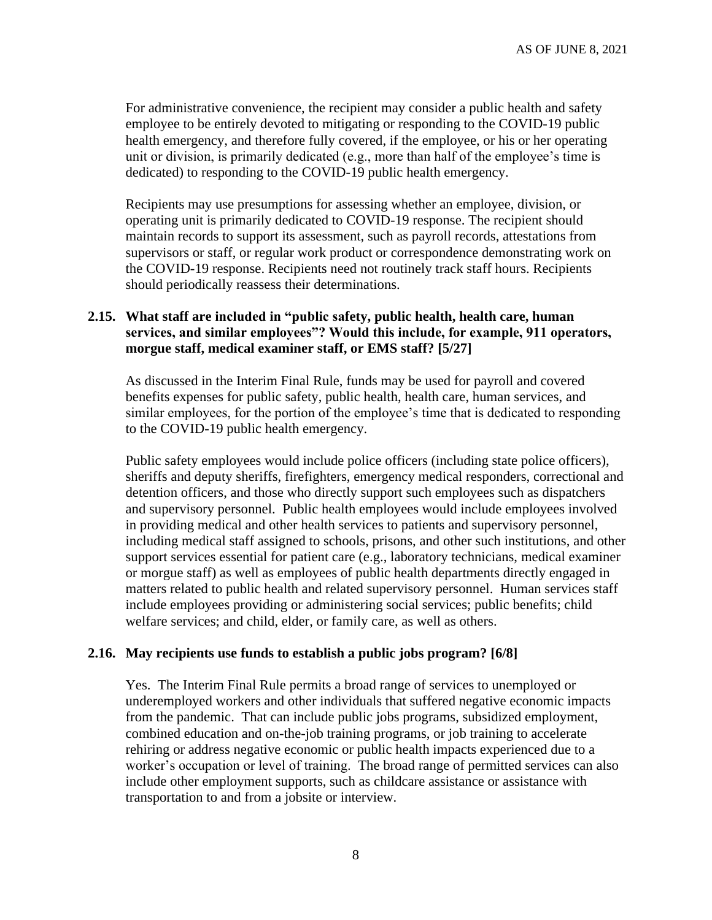For administrative convenience, the recipient may consider a public health and safety employee to be entirely devoted to mitigating or responding to the COVID-19 public health emergency, and therefore fully covered, if the employee, or his or her operating unit or division, is primarily dedicated (e.g., more than half of the employee's time is dedicated) to responding to the COVID-19 public health emergency.

Recipients may use presumptions for assessing whether an employee, division, or operating unit is primarily dedicated to COVID-19 response. The recipient should maintain records to support its assessment, such as payroll records, attestations from supervisors or staff, or regular work product or correspondence demonstrating work on the COVID-19 response. Recipients need not routinely track staff hours. Recipients should periodically reassess their determinations.

## <span id="page-7-0"></span>**2.15. What staff are included in "public safety, public health, health care, human services, and similar employees"? Would this include, for example, 911 operators, morgue staff, medical examiner staff, or EMS staff? [5/27]**

As discussed in the Interim Final Rule, funds may be used for payroll and covered benefits expenses for public safety, public health, health care, human services, and similar employees, for the portion of the employee's time that is dedicated to responding to the COVID-19 public health emergency.

Public safety employees would include police officers (including state police officers), sheriffs and deputy sheriffs, firefighters, emergency medical responders, correctional and detention officers, and those who directly support such employees such as dispatchers and supervisory personnel. Public health employees would include employees involved in providing medical and other health services to patients and supervisory personnel, including medical staff assigned to schools, prisons, and other such institutions, and other support services essential for patient care (e.g., laboratory technicians, medical examiner or morgue staff) as well as employees of public health departments directly engaged in matters related to public health and related supervisory personnel. Human services staff include employees providing or administering social services; public benefits; child welfare services; and child, elder, or family care, as well as others.

#### <span id="page-7-1"></span>**2.16. May recipients use funds to establish a public jobs program? [6/8]**

Yes. The Interim Final Rule permits a broad range of services to unemployed or underemployed workers and other individuals that suffered negative economic impacts from the pandemic. That can include public jobs programs, subsidized employment, combined education and on-the-job training programs, or job training to accelerate rehiring or address negative economic or public health impacts experienced due to a worker's occupation or level of training. The broad range of permitted services can also include other employment supports, such as childcare assistance or assistance with transportation to and from a jobsite or interview.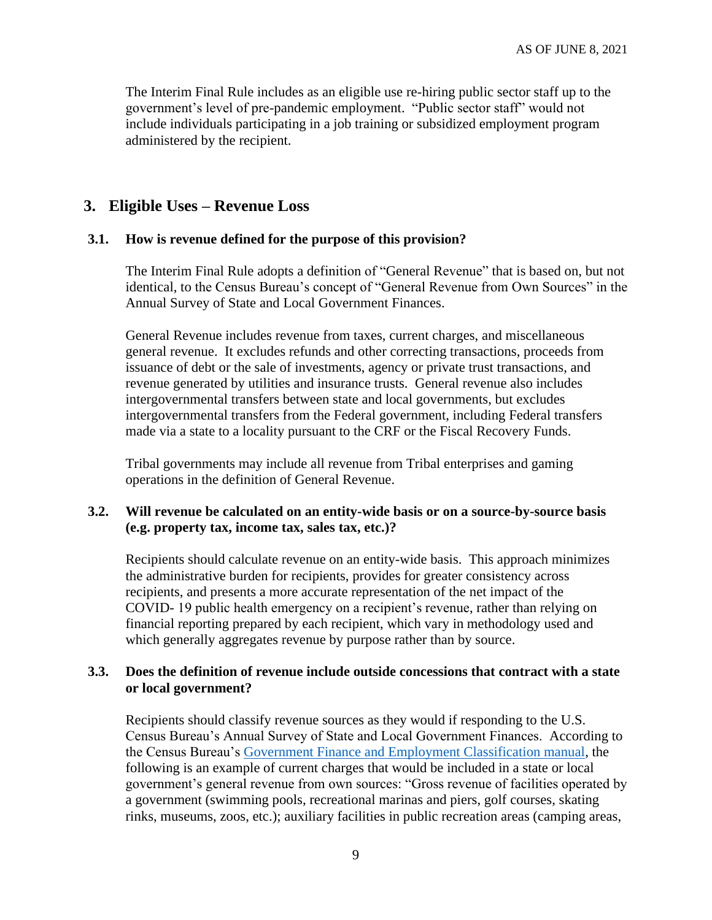The Interim Final Rule includes as an eligible use re-hiring public sector staff up to the government's level of pre-pandemic employment. "Public sector staff" would not include individuals participating in a job training or subsidized employment program administered by the recipient.

## **3. Eligible Uses – Revenue Loss**

#### <span id="page-8-0"></span>**3.1. How is revenue defined for the purpose of this provision?**

The Interim Final Rule adopts a definition of "General Revenue" that is based on, but not identical, to the Census Bureau's concept of "General Revenue from Own Sources" in the Annual Survey of State and Local Government Finances.

General Revenue includes revenue from taxes, current charges, and miscellaneous general revenue. It excludes refunds and other correcting transactions, proceeds from issuance of debt or the sale of investments, agency or private trust transactions, and revenue generated by utilities and insurance trusts. General revenue also includes intergovernmental transfers between state and local governments, but excludes intergovernmental transfers from the Federal government, including Federal transfers made via a state to a locality pursuant to the CRF or the Fiscal Recovery Funds.

Tribal governments may include all revenue from Tribal enterprises and gaming operations in the definition of General Revenue.

## **3.2. Will revenue be calculated on an entity-wide basis or on a source-by-source basis (e.g. property tax, income tax, sales tax, etc.)?**

Recipients should calculate revenue on an entity-wide basis. This approach minimizes the administrative burden for recipients, provides for greater consistency across recipients, and presents a more accurate representation of the net impact of the COVID- 19 public health emergency on a recipient's revenue, rather than relying on financial reporting prepared by each recipient, which vary in methodology used and which generally aggregates revenue by purpose rather than by source.

### **3.3. Does the definition of revenue include outside concessions that contract with a state or local government?**

Recipients should classify revenue sources as they would if responding to the U.S. Census Bureau's Annual Survey of State and Local Government Finances. According to the Census Bureau's [Government Finance and Employment Classification manual,](https://www2.census.gov/govs/pubs/classification/2006_classification_manual.pdf) the following is an example of current charges that would be included in a state or local government's general revenue from own sources: "Gross revenue of facilities operated by a government (swimming pools, recreational marinas and piers, golf courses, skating rinks, museums, zoos, etc.); auxiliary facilities in public recreation areas (camping areas,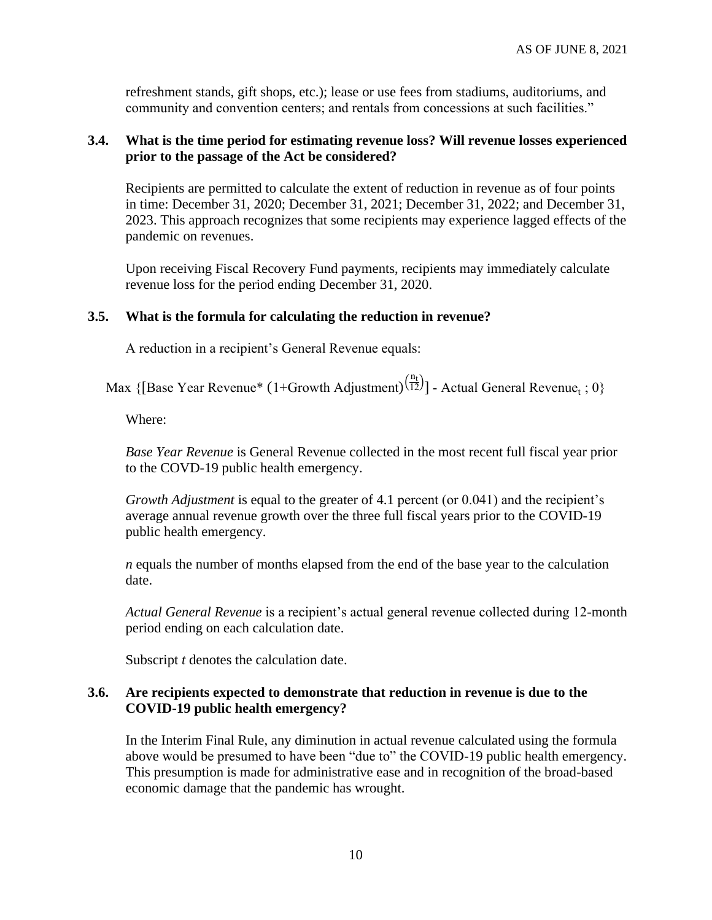refreshment stands, gift shops, etc.); lease or use fees from stadiums, auditoriums, and community and convention centers; and rentals from concessions at such facilities."

#### **3.4. What is the time period for estimating revenue loss? Will revenue losses experienced prior to the passage of the Act be considered?**

Recipients are permitted to calculate the extent of reduction in revenue as of four points in time: December 31, 2020; December 31, 2021; December 31, 2022; and December 31, 2023. This approach recognizes that some recipients may experience lagged effects of the pandemic on revenues.

Upon receiving Fiscal Recovery Fund payments, recipients may immediately calculate revenue loss for the period ending December 31, 2020.

#### **3.5. What is the formula for calculating the reduction in revenue?**

A reduction in a recipient's General Revenue equals:

Max {[Base Year Revenue\* (1+Growth Adjustment) $\frac{n_t}{12}$ ] - Actual General Revenue<sub>t</sub>; 0}

Where:

*Base Year Revenue* is General Revenue collected in the most recent full fiscal year prior to the COVD-19 public health emergency.

*Growth Adjustment* is equal to the greater of 4.1 percent (or 0.041) and the recipient's average annual revenue growth over the three full fiscal years prior to the COVID-19 public health emergency.

*n* equals the number of months elapsed from the end of the base year to the calculation date.

*Actual General Revenue* is a recipient's actual general revenue collected during 12-month period ending on each calculation date.

Subscript *t* denotes the calculation date.

#### **3.6. Are recipients expected to demonstrate that reduction in revenue is due to the COVID-19 public health emergency?**

In the Interim Final Rule, any diminution in actual revenue calculated using the formula above would be presumed to have been "due to" the COVID-19 public health emergency. This presumption is made for administrative ease and in recognition of the broad-based economic damage that the pandemic has wrought.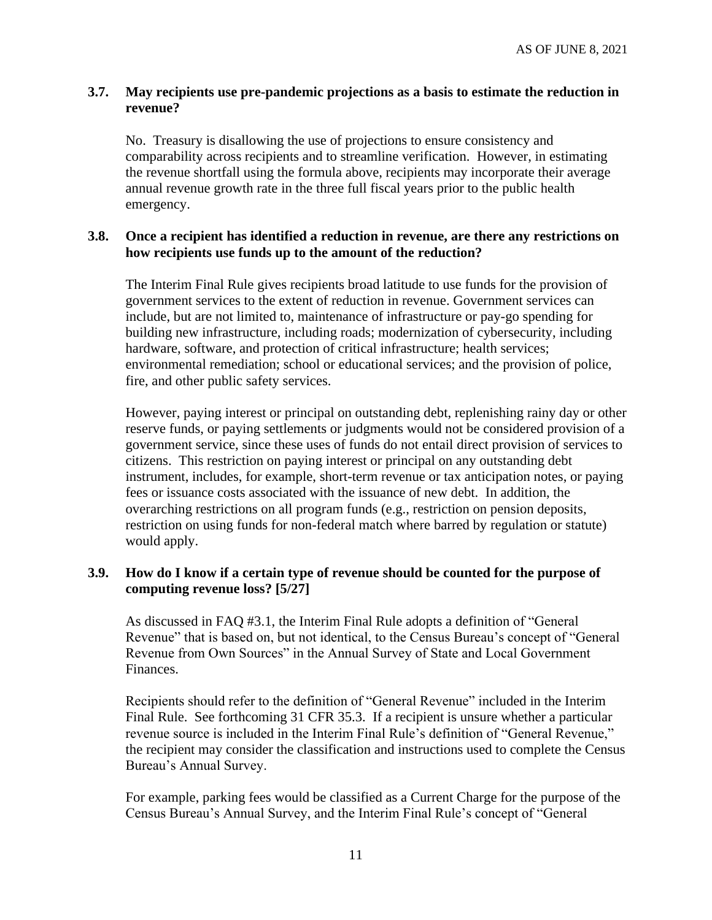### **3.7. May recipients use pre-pandemic projections as a basis to estimate the reduction in revenue?**

No. Treasury is disallowing the use of projections to ensure consistency and comparability across recipients and to streamline verification. However, in estimating the revenue shortfall using the formula above, recipients may incorporate their average annual revenue growth rate in the three full fiscal years prior to the public health emergency.

#### <span id="page-10-1"></span>**3.8. Once a recipient has identified a reduction in revenue, are there any restrictions on how recipients use funds up to the amount of the reduction?**

The Interim Final Rule gives recipients broad latitude to use funds for the provision of government services to the extent of reduction in revenue. Government services can include, but are not limited to, maintenance of infrastructure or pay-go spending for building new infrastructure, including roads; modernization of cybersecurity, including hardware, software, and protection of critical infrastructure; health services; environmental remediation; school or educational services; and the provision of police, fire, and other public safety services.

However, paying interest or principal on outstanding debt, replenishing rainy day or other reserve funds, or paying settlements or judgments would not be considered provision of a government service, since these uses of funds do not entail direct provision of services to citizens. This restriction on paying interest or principal on any outstanding debt instrument, includes, for example, short-term revenue or tax anticipation notes, or paying fees or issuance costs associated with the issuance of new debt. In addition, the overarching restrictions on all program funds (e.g., restriction on pension deposits, restriction on using funds for non-federal match where barred by regulation or statute) would apply.

## <span id="page-10-0"></span>**3.9. How do I know if a certain type of revenue should be counted for the purpose of computing revenue loss? [5/27]**

As discussed in FAQ [#3.1,](#page-8-0) the Interim Final Rule adopts a definition of "General Revenue" that is based on, but not identical, to the Census Bureau's concept of "General Revenue from Own Sources" in the Annual Survey of State and Local Government Finances.

Recipients should refer to the definition of "General Revenue" included in the Interim Final Rule. See forthcoming 31 CFR 35.3. If a recipient is unsure whether a particular revenue source is included in the Interim Final Rule's definition of "General Revenue," the recipient may consider the classification and instructions used to complete the Census Bureau's Annual Survey.

For example, parking fees would be classified as a Current Charge for the purpose of the Census Bureau's Annual Survey, and the Interim Final Rule's concept of "General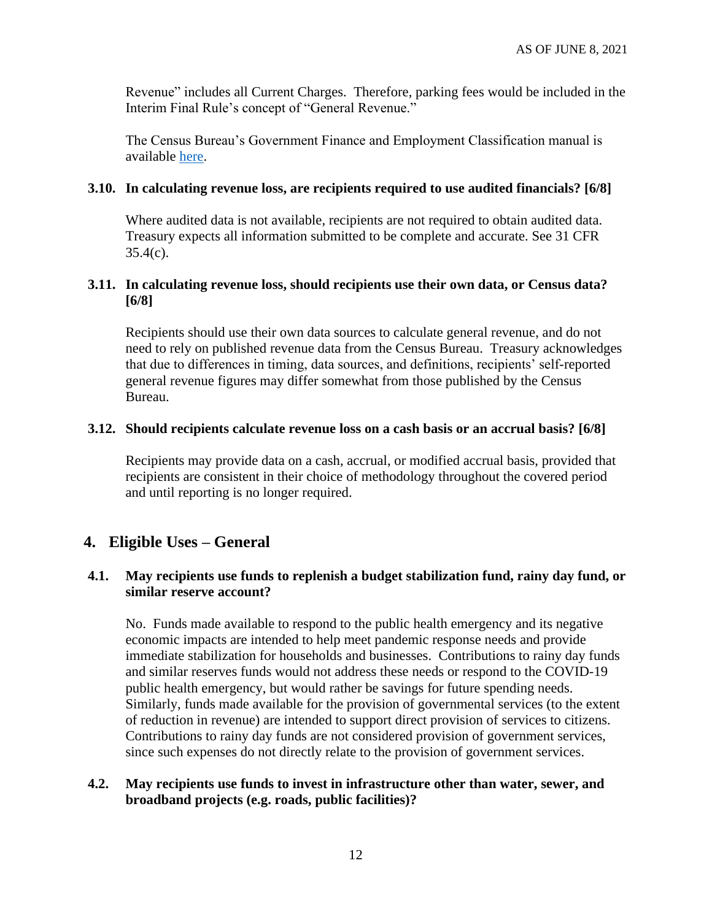Revenue" includes all Current Charges. Therefore, parking fees would be included in the Interim Final Rule's concept of "General Revenue."

The Census Bureau's Government Finance and Employment Classification manual is available [here.](https://www2.census.gov/govs/pubs/classification/2006_classification_manual.pdf.)

#### <span id="page-11-0"></span>**3.10. In calculating revenue loss, are recipients required to use audited financials? [6/8]**

Where audited data is not available, recipients are not required to obtain audited data. Treasury expects all information submitted to be complete and accurate. See 31 CFR  $35.4(c)$ .

### <span id="page-11-1"></span>**3.11. In calculating revenue loss, should recipients use their own data, or Census data? [6/8]**

Recipients should use their own data sources to calculate general revenue, and do not need to rely on published revenue data from the Census Bureau. Treasury acknowledges that due to differences in timing, data sources, and definitions, recipients' self-reported general revenue figures may differ somewhat from those published by the Census Bureau.

#### <span id="page-11-2"></span>**3.12. Should recipients calculate revenue loss on a cash basis or an accrual basis? [6/8]**

Recipients may provide data on a cash, accrual, or modified accrual basis, provided that recipients are consistent in their choice of methodology throughout the covered period and until reporting is no longer required.

## **4. Eligible Uses – General**

#### **4.1. May recipients use funds to replenish a budget stabilization fund, rainy day fund, or similar reserve account?**

No. Funds made available to respond to the public health emergency and its negative economic impacts are intended to help meet pandemic response needs and provide immediate stabilization for households and businesses. Contributions to rainy day funds and similar reserves funds would not address these needs or respond to the COVID-19 public health emergency, but would rather be savings for future spending needs. Similarly, funds made available for the provision of governmental services (to the extent of reduction in revenue) are intended to support direct provision of services to citizens. Contributions to rainy day funds are not considered provision of government services, since such expenses do not directly relate to the provision of government services.

#### **4.2. May recipients use funds to invest in infrastructure other than water, sewer, and broadband projects (e.g. roads, public facilities)?**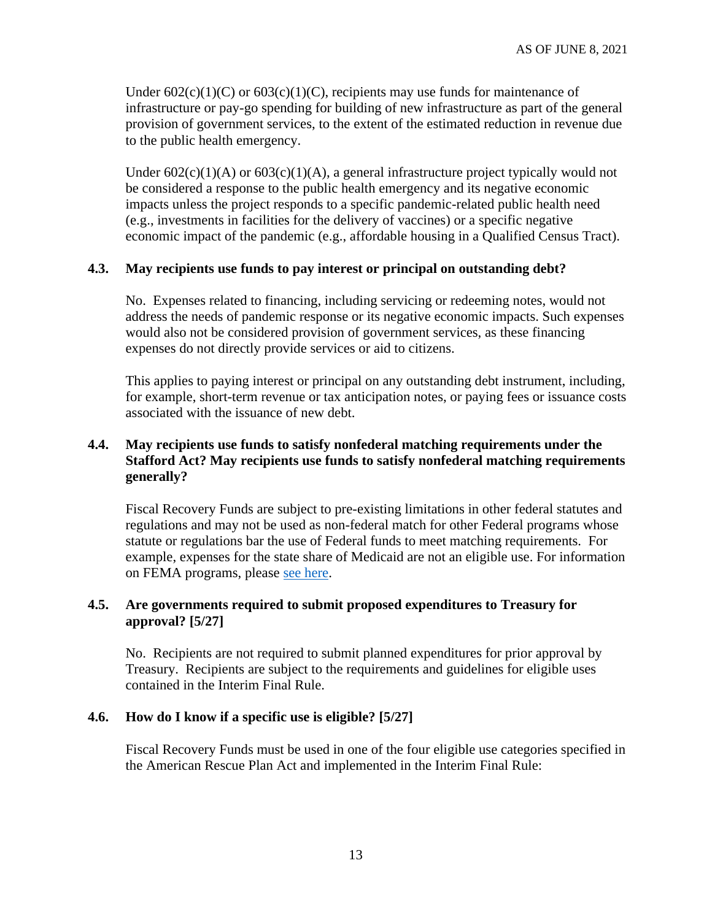Under  $602(c)(1)(C)$  or  $603(c)(1)(C)$ , recipients may use funds for maintenance of infrastructure or pay-go spending for building of new infrastructure as part of the general provision of government services, to the extent of the estimated reduction in revenue due to the public health emergency.

Under  $602(c)(1)(A)$  or  $603(c)(1)(A)$ , a general infrastructure project typically would not be considered a response to the public health emergency and its negative economic impacts unless the project responds to a specific pandemic-related public health need (e.g., investments in facilities for the delivery of vaccines) or a specific negative economic impact of the pandemic (e.g., affordable housing in a Qualified Census Tract).

### **4.3. May recipients use funds to pay interest or principal on outstanding debt?**

No. Expenses related to financing, including servicing or redeeming notes, would not address the needs of pandemic response or its negative economic impacts. Such expenses would also not be considered provision of government services, as these financing expenses do not directly provide services or aid to citizens.

This applies to paying interest or principal on any outstanding debt instrument, including, for example, short-term revenue or tax anticipation notes, or paying fees or issuance costs associated with the issuance of new debt.

## **4.4. May recipients use funds to satisfy nonfederal matching requirements under the Stafford Act? May recipients use funds to satisfy nonfederal matching requirements generally?**

Fiscal Recovery Funds are subject to pre-existing limitations in other federal statutes and regulations and may not be used as non-federal match for other Federal programs whose statute or regulations bar the use of Federal funds to meet matching requirements. For example, expenses for the state share of Medicaid are not an eligible use. For information on FEMA programs, please [see here.](https://www.fema.gov/press-release/20210203/fema-statement-100-cost-share)

#### <span id="page-12-0"></span>**4.5. Are governments required to submit proposed expenditures to Treasury for approval? [5/27]**

No. Recipients are not required to submit planned expenditures for prior approval by Treasury. Recipients are subject to the requirements and guidelines for eligible uses contained in the Interim Final Rule.

#### <span id="page-12-1"></span>**4.6. How do I know if a specific use is eligible? [5/27]**

Fiscal Recovery Funds must be used in one of the four eligible use categories specified in the American Rescue Plan Act and implemented in the Interim Final Rule: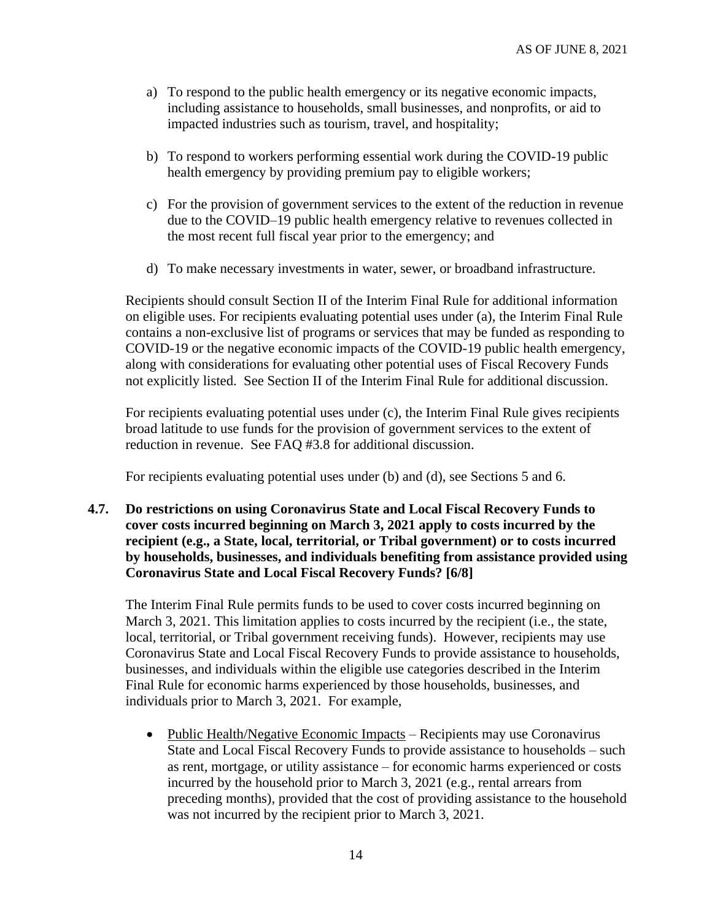- a) To respond to the public health emergency or its negative economic impacts, including assistance to households, small businesses, and nonprofits, or aid to impacted industries such as tourism, travel, and hospitality;
- b) To respond to workers performing essential work during the COVID-19 public health emergency by providing premium pay to eligible workers;
- c) For the provision of government services to the extent of the reduction in revenue due to the COVID–19 public health emergency relative to revenues collected in the most recent full fiscal year prior to the emergency; and
- d) To make necessary investments in water, sewer, or broadband infrastructure.

Recipients should consult Section II of the Interim Final Rule for additional information on eligible uses. For recipients evaluating potential uses under (a), the Interim Final Rule contains a non-exclusive list of programs or services that may be funded as responding to COVID-19 or the negative economic impacts of the COVID-19 public health emergency, along with considerations for evaluating other potential uses of Fiscal Recovery Funds not explicitly listed. See Section II of the Interim Final Rule for additional discussion.

For recipients evaluating potential uses under (c), the Interim Final Rule gives recipients broad latitude to use funds for the provision of government services to the extent of reduction in revenue. See FAQ [#3.8](#page-10-1) for additional discussion.

For recipients evaluating potential uses under (b) and (d), see Sections [5](#page-14-0) and [6.](#page-15-0)

<span id="page-13-0"></span>**4.7. Do restrictions on using Coronavirus State and Local Fiscal Recovery Funds to cover costs incurred beginning on March 3, 2021 apply to costs incurred by the recipient (e.g., a State, local, territorial, or Tribal government) or to costs incurred by households, businesses, and individuals benefiting from assistance provided using Coronavirus State and Local Fiscal Recovery Funds? [6/8]**

The Interim Final Rule permits funds to be used to cover costs incurred beginning on March 3, 2021. This limitation applies to costs incurred by the recipient (i.e., the state, local, territorial, or Tribal government receiving funds). However, recipients may use Coronavirus State and Local Fiscal Recovery Funds to provide assistance to households, businesses, and individuals within the eligible use categories described in the Interim Final Rule for economic harms experienced by those households, businesses, and individuals prior to March 3, 2021. For example,

• Public Health/Negative Economic Impacts – Recipients may use Coronavirus State and Local Fiscal Recovery Funds to provide assistance to households – such as rent, mortgage, or utility assistance – for economic harms experienced or costs incurred by the household prior to March 3, 2021 (e.g., rental arrears from preceding months), provided that the cost of providing assistance to the household was not incurred by the recipient prior to March 3, 2021.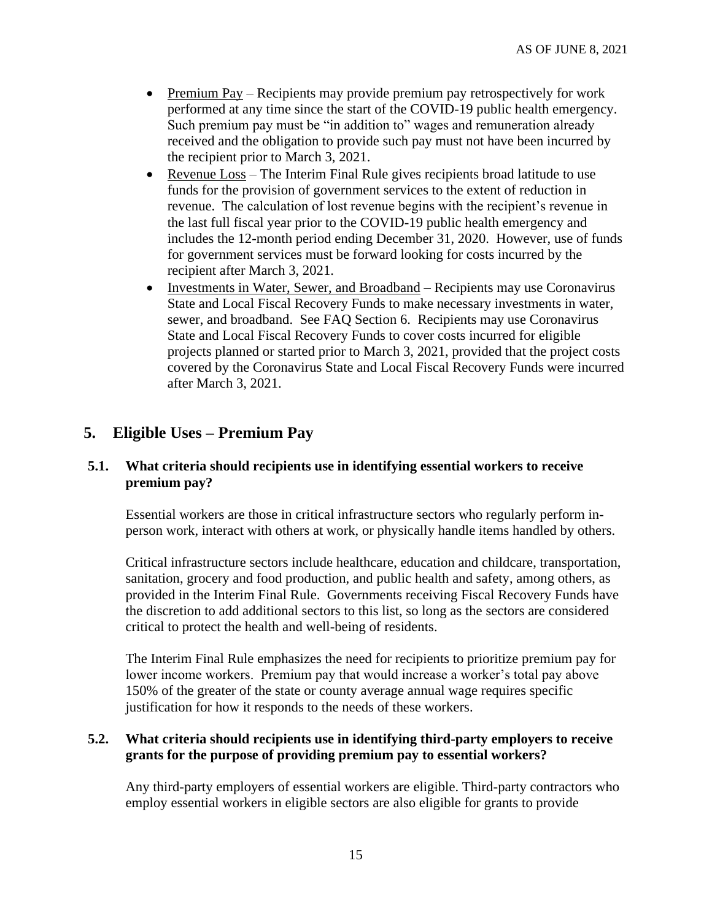- Premium Pay Recipients may provide premium pay retrospectively for work performed at any time since the start of the COVID-19 public health emergency. Such premium pay must be "in addition to" wages and remuneration already received and the obligation to provide such pay must not have been incurred by the recipient prior to March 3, 2021.
- Revenue Loss The Interim Final Rule gives recipients broad latitude to use funds for the provision of government services to the extent of reduction in revenue. The calculation of lost revenue begins with the recipient's revenue in the last full fiscal year prior to the COVID-19 public health emergency and includes the 12-month period ending December 31, 2020. However, use of funds for government services must be forward looking for costs incurred by the recipient after March 3, 2021.
- Investments in Water, Sewer, and Broadband Recipients may use Coronavirus State and Local Fiscal Recovery Funds to make necessary investments in water, sewer, and broadband. See FAQ Section [6.](#page-15-0) Recipients may use Coronavirus State and Local Fiscal Recovery Funds to cover costs incurred for eligible projects planned or started prior to March 3, 2021, provided that the project costs covered by the Coronavirus State and Local Fiscal Recovery Funds were incurred after March 3, 2021.

# <span id="page-14-0"></span>**5. Eligible Uses – Premium Pay**

#### **5.1. What criteria should recipients use in identifying essential workers to receive premium pay?**

Essential workers are those in critical infrastructure sectors who regularly perform inperson work, interact with others at work, or physically handle items handled by others.

Critical infrastructure sectors include healthcare, education and childcare, transportation, sanitation, grocery and food production, and public health and safety, among others, as provided in the Interim Final Rule. Governments receiving Fiscal Recovery Funds have the discretion to add additional sectors to this list, so long as the sectors are considered critical to protect the health and well-being of residents.

The Interim Final Rule emphasizes the need for recipients to prioritize premium pay for lower income workers. Premium pay that would increase a worker's total pay above 150% of the greater of the state or county average annual wage requires specific justification for how it responds to the needs of these workers.

## **5.2. What criteria should recipients use in identifying third-party employers to receive grants for the purpose of providing premium pay to essential workers?**

Any third-party employers of essential workers are eligible. Third-party contractors who employ essential workers in eligible sectors are also eligible for grants to provide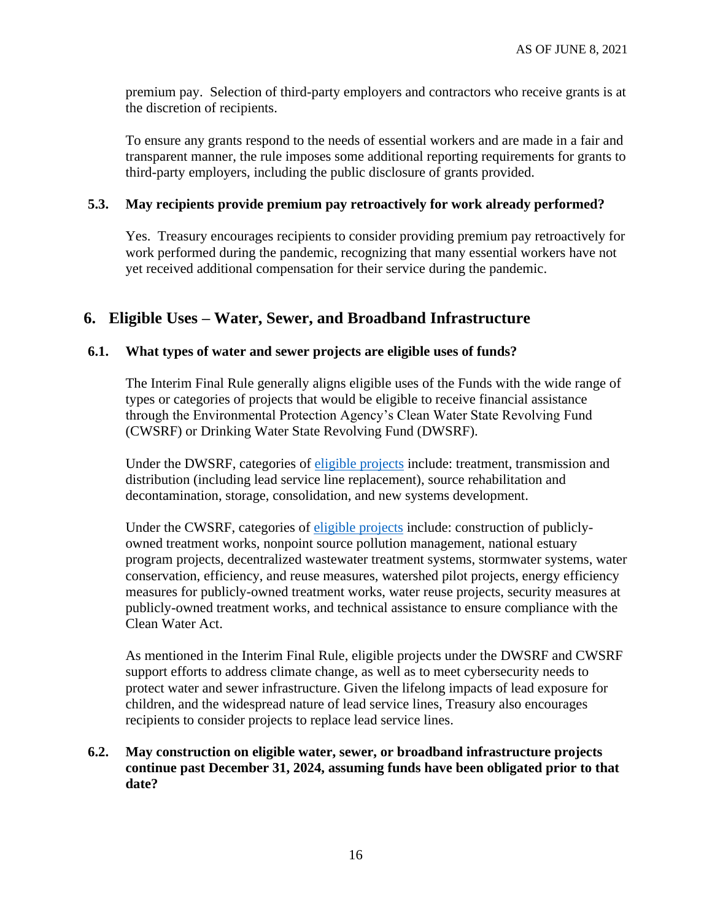premium pay. Selection of third-party employers and contractors who receive grants is at the discretion of recipients.

To ensure any grants respond to the needs of essential workers and are made in a fair and transparent manner, the rule imposes some additional reporting requirements for grants to third-party employers, including the public disclosure of grants provided.

#### **5.3. May recipients provide premium pay retroactively for work already performed?**

Yes. Treasury encourages recipients to consider providing premium pay retroactively for work performed during the pandemic, recognizing that many essential workers have not yet received additional compensation for their service during the pandemic.

## <span id="page-15-0"></span>**6. Eligible Uses – Water, Sewer, and Broadband Infrastructure**

#### **6.1. What types of water and sewer projects are eligible uses of funds?**

The Interim Final Rule generally aligns eligible uses of the Funds with the wide range of types or categories of projects that would be eligible to receive financial assistance through the Environmental Protection Agency's Clean Water State Revolving Fund (CWSRF) or Drinking Water State Revolving Fund (DWSRF).

Under the DWSRF, categories of [eligible projects](https://www.epa.gov/dwsrf/drinking-water-state-revolving-fund-eligibility-handbook) include: treatment, transmission and distribution (including lead service line replacement), source rehabilitation and decontamination, storage, consolidation, and new systems development.

Under the CWSRF, categories of [eligible projects](https://www.epa.gov/cwsrf/learn-about-clean-water-state-revolving-fund-cwsrf#eligibilities) include: construction of publiclyowned treatment works, nonpoint source pollution management, national estuary program projects, decentralized wastewater treatment systems, stormwater systems, water conservation, efficiency, and reuse measures, watershed pilot projects, energy efficiency measures for publicly-owned treatment works, water reuse projects, security measures at publicly-owned treatment works, and technical assistance to ensure compliance with the Clean Water Act.

As mentioned in the Interim Final Rule, eligible projects under the DWSRF and CWSRF support efforts to address climate change, as well as to meet cybersecurity needs to protect water and sewer infrastructure. Given the lifelong impacts of lead exposure for children, and the widespread nature of lead service lines, Treasury also encourages recipients to consider projects to replace lead service lines.

## **6.2. May construction on eligible water, sewer, or broadband infrastructure projects continue past December 31, 2024, assuming funds have been obligated prior to that date?**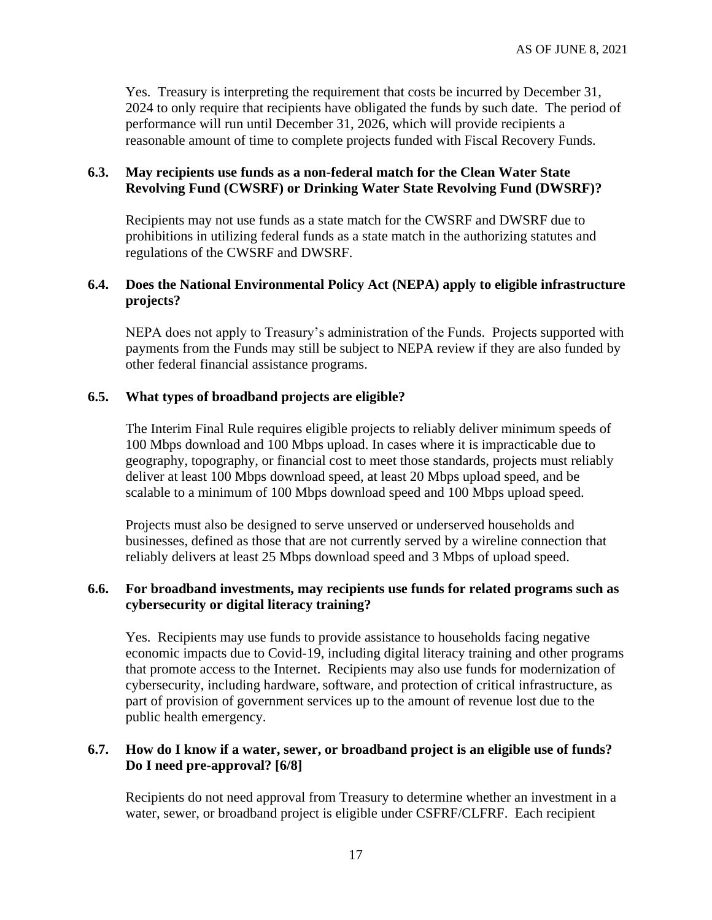Yes. Treasury is interpreting the requirement that costs be incurred by December 31, 2024 to only require that recipients have obligated the funds by such date. The period of performance will run until December 31, 2026, which will provide recipients a reasonable amount of time to complete projects funded with Fiscal Recovery Funds.

### **6.3. May recipients use funds as a non-federal match for the Clean Water State Revolving Fund (CWSRF) or Drinking Water State Revolving Fund (DWSRF)?**

Recipients may not use funds as a state match for the CWSRF and DWSRF due to prohibitions in utilizing federal funds as a state match in the authorizing statutes and regulations of the CWSRF and DWSRF.

#### **6.4. Does the National Environmental Policy Act (NEPA) apply to eligible infrastructure projects?**

NEPA does not apply to Treasury's administration of the Funds. Projects supported with payments from the Funds may still be subject to NEPA review if they are also funded by other federal financial assistance programs.

## **6.5. What types of broadband projects are eligible?**

The Interim Final Rule requires eligible projects to reliably deliver minimum speeds of 100 Mbps download and 100 Mbps upload. In cases where it is impracticable due to geography, topography, or financial cost to meet those standards, projects must reliably deliver at least 100 Mbps download speed, at least 20 Mbps upload speed, and be scalable to a minimum of 100 Mbps download speed and 100 Mbps upload speed.

Projects must also be designed to serve unserved or underserved households and businesses, defined as those that are not currently served by a wireline connection that reliably delivers at least 25 Mbps download speed and 3 Mbps of upload speed.

## **6.6. For broadband investments, may recipients use funds for related programs such as cybersecurity or digital literacy training?**

Yes. Recipients may use funds to provide assistance to households facing negative economic impacts due to Covid-19, including digital literacy training and other programs that promote access to the Internet. Recipients may also use funds for modernization of cybersecurity, including hardware, software, and protection of critical infrastructure, as part of provision of government services up to the amount of revenue lost due to the public health emergency.

## <span id="page-16-0"></span>**6.7. How do I know if a water, sewer, or broadband project is an eligible use of funds? Do I need pre-approval? [6/8]**

Recipients do not need approval from Treasury to determine whether an investment in a water, sewer, or broadband project is eligible under CSFRF/CLFRF. Each recipient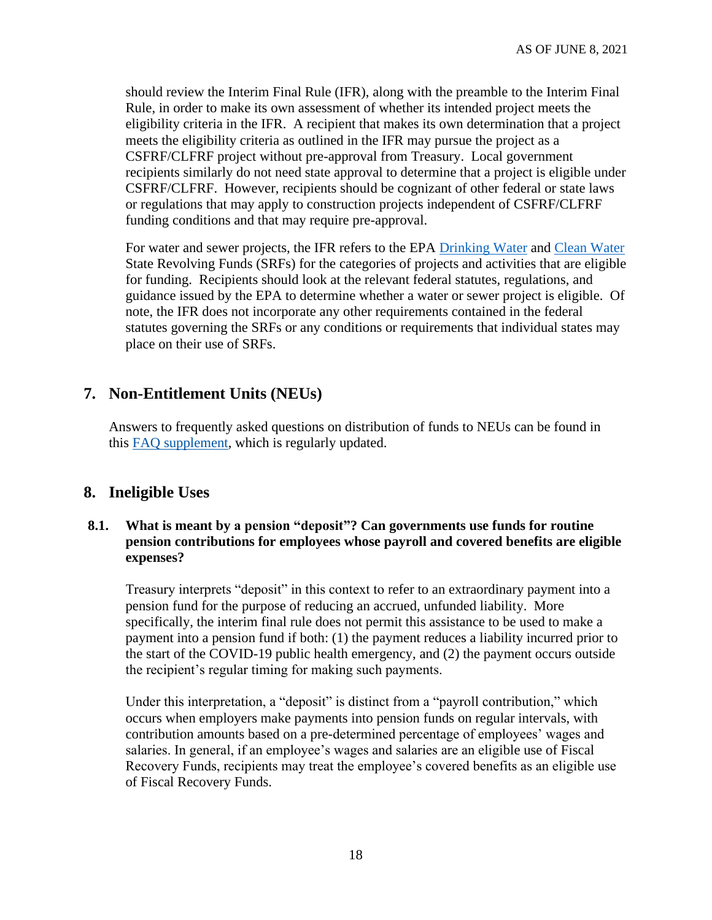should review the Interim Final Rule (IFR), along with the preamble to the Interim Final Rule, in order to make its own assessment of whether its intended project meets the eligibility criteria in the IFR. A recipient that makes its own determination that a project meets the eligibility criteria as outlined in the IFR may pursue the project as a CSFRF/CLFRF project without pre-approval from Treasury. Local government recipients similarly do not need state approval to determine that a project is eligible under CSFRF/CLFRF. However, recipients should be cognizant of other federal or state laws or regulations that may apply to construction projects independent of CSFRF/CLFRF funding conditions and that may require pre-approval.

For water and sewer projects, the IFR refers to the EPA [Drinking Water](https://www.epa.gov/dwsrf/dwsrf-eligibilities) and [Clean Water](https://www.epa.gov/cwsrf/learn-about-clean-water-state-revolving-fund-cwsrf#eligibilities) State Revolving Funds (SRFs) for the categories of projects and activities that are eligible for funding. Recipients should look at the relevant federal statutes, regulations, and guidance issued by the EPA to determine whether a water or sewer project is eligible. Of note, the IFR does not incorporate any other requirements contained in the federal statutes governing the SRFs or any conditions or requirements that individual states may place on their use of SRFs.

# **7. Non-Entitlement Units (NEUs)**

Answers to frequently asked questions on distribution of funds to NEUs can be found in this [FAQ supplement,](https://home.treasury.gov/system/files/136/NEU-FAQs.pdf) which is regularly updated.

# **8. Ineligible Uses**

## **8.1. What is meant by a pension "deposit"? Can governments use funds for routine pension contributions for employees whose payroll and covered benefits are eligible expenses?**

Treasury interprets "deposit" in this context to refer to an extraordinary payment into a pension fund for the purpose of reducing an accrued, unfunded liability. More specifically, the interim final rule does not permit this assistance to be used to make a payment into a pension fund if both: (1) the payment reduces a liability incurred prior to the start of the COVID-19 public health emergency, and (2) the payment occurs outside the recipient's regular timing for making such payments.

Under this interpretation, a "deposit" is distinct from a "payroll contribution," which occurs when employers make payments into pension funds on regular intervals, with contribution amounts based on a pre-determined percentage of employees' wages and salaries. In general, if an employee's wages and salaries are an eligible use of Fiscal Recovery Funds, recipients may treat the employee's covered benefits as an eligible use of Fiscal Recovery Funds.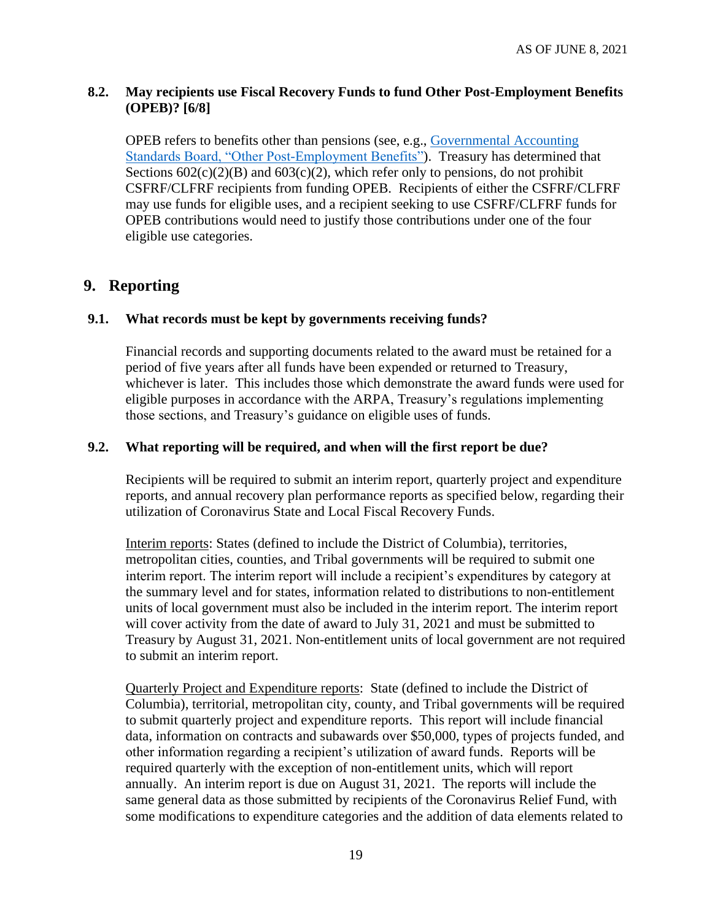## <span id="page-18-0"></span>**8.2. May recipients use Fiscal Recovery Funds to fund Other Post-Employment Benefits (OPEB)? [6/8]**

OPEB refers to benefits other than pensions (see, e.g., [Governmental Accounting](https://www.gasb.org/jsp/GASB/Page/GASBBridgePage&cid=1176164129754)  [Standards Board, "Other Post-Employment Benefits"\)](https://www.gasb.org/jsp/GASB/Page/GASBBridgePage&cid=1176164129754). Treasury has determined that Sections  $602(c)(2)(B)$  and  $603(c)(2)$ , which refer only to pensions, do not prohibit CSFRF/CLFRF recipients from funding OPEB. Recipients of either the CSFRF/CLFRF may use funds for eligible uses, and a recipient seeking to use CSFRF/CLFRF funds for OPEB contributions would need to justify those contributions under one of the four eligible use categories.

# **9. Reporting**

## **9.1. What records must be kept by governments receiving funds?**

Financial records and supporting documents related to the award must be retained for a period of five years after all funds have been expended or returned to Treasury, whichever is later. This includes those which demonstrate the award funds were used for eligible purposes in accordance with the ARPA, Treasury's regulations implementing those sections, and Treasury's guidance on eligible uses of funds.

## **9.2. What reporting will be required, and when will the first report be due?**

Recipients will be required to submit an interim report, quarterly project and expenditure reports, and annual recovery plan performance reports as specified below, regarding their utilization of Coronavirus State and Local Fiscal Recovery Funds.

Interim reports: States (defined to include the District of Columbia), territories, metropolitan cities, counties, and Tribal governments will be required to submit one interim report. The interim report will include a recipient's expenditures by category at the summary level and for states, information related to distributions to non-entitlement units of local government must also be included in the interim report. The interim report will cover activity from the date of award to July 31, 2021 and must be submitted to Treasury by August 31, 2021. Non-entitlement units of local government are not required to submit an interim report.

Quarterly Project and Expenditure reports: State (defined to include the District of Columbia), territorial, metropolitan city, county, and Tribal governments will be required to submit quarterly project and expenditure reports. This report will include financial data, information on contracts and subawards over \$50,000, types of projects funded, and other information regarding a recipient's utilization of award funds. Reports will be required quarterly with the exception of non-entitlement units, which will report annually. An interim report is due on August 31, 2021. The reports will include the same general data as those submitted by recipients of the Coronavirus Relief Fund, with some modifications to expenditure categories and the addition of data elements related to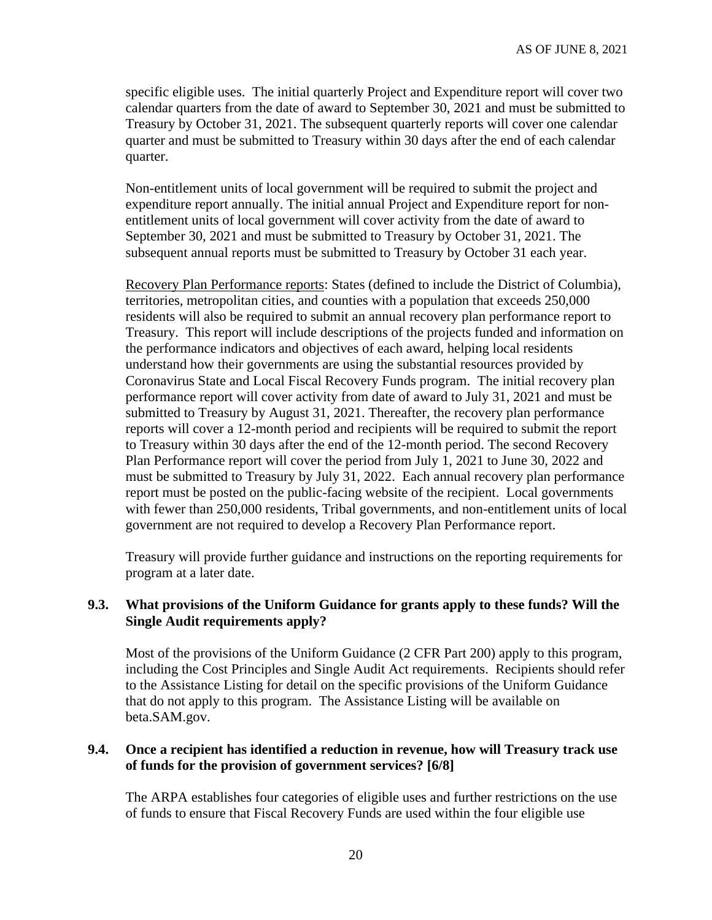specific eligible uses. The initial quarterly Project and Expenditure report will cover two calendar quarters from the date of award to September 30, 2021 and must be submitted to Treasury by October 31, 2021. The subsequent quarterly reports will cover one calendar quarter and must be submitted to Treasury within 30 days after the end of each calendar quarter.

Non-entitlement units of local government will be required to submit the project and expenditure report annually. The initial annual Project and Expenditure report for nonentitlement units of local government will cover activity from the date of award to September 30, 2021 and must be submitted to Treasury by October 31, 2021. The subsequent annual reports must be submitted to Treasury by October 31 each year.

Recovery Plan Performance reports: States (defined to include the District of Columbia), territories, metropolitan cities, and counties with a population that exceeds 250,000 residents will also be required to submit an annual recovery plan performance report to Treasury. This report will include descriptions of the projects funded and information on the performance indicators and objectives of each award, helping local residents understand how their governments are using the substantial resources provided by Coronavirus State and Local Fiscal Recovery Funds program. The initial recovery plan performance report will cover activity from date of award to July 31, 2021 and must be submitted to Treasury by August 31, 2021. Thereafter, the recovery plan performance reports will cover a 12-month period and recipients will be required to submit the report to Treasury within 30 days after the end of the 12-month period. The second Recovery Plan Performance report will cover the period from July 1, 2021 to June 30, 2022 and must be submitted to Treasury by July 31, 2022. Each annual recovery plan performance report must be posted on the public-facing website of the recipient. Local governments with fewer than 250,000 residents, Tribal governments, and non-entitlement units of local government are not required to develop a Recovery Plan Performance report.

Treasury will provide further guidance and instructions on the reporting requirements for program at a later date.

#### **9.3. What provisions of the Uniform Guidance for grants apply to these funds? Will the Single Audit requirements apply?**

Most of the provisions of the Uniform Guidance (2 CFR Part 200) apply to this program, including the Cost Principles and Single Audit Act requirements. Recipients should refer to the Assistance Listing for detail on the specific provisions of the Uniform Guidance that do not apply to this program. The Assistance Listing will be available on beta.SAM.gov.

#### <span id="page-19-0"></span>**9.4. Once a recipient has identified a reduction in revenue, how will Treasury track use of funds for the provision of government services? [6/8]**

The ARPA establishes four categories of eligible uses and further restrictions on the use of funds to ensure that Fiscal Recovery Funds are used within the four eligible use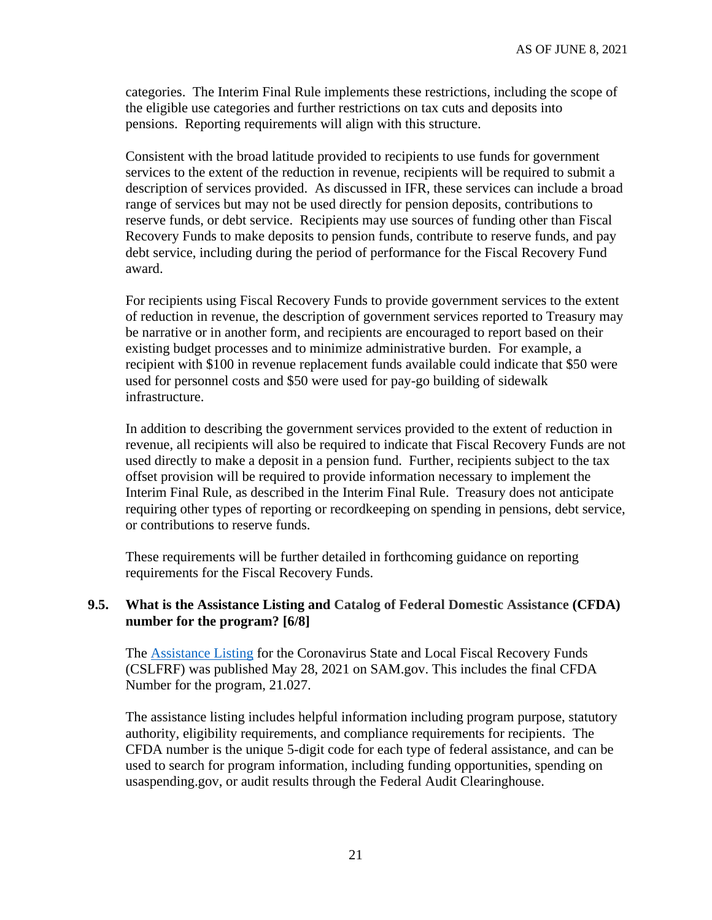categories. The Interim Final Rule implements these restrictions, including the scope of the eligible use categories and further restrictions on tax cuts and deposits into pensions. Reporting requirements will align with this structure.

Consistent with the broad latitude provided to recipients to use funds for government services to the extent of the reduction in revenue, recipients will be required to submit a description of services provided. As discussed in IFR, these services can include a broad range of services but may not be used directly for pension deposits, contributions to reserve funds, or debt service. Recipients may use sources of funding other than Fiscal Recovery Funds to make deposits to pension funds, contribute to reserve funds, and pay debt service, including during the period of performance for the Fiscal Recovery Fund award.

For recipients using Fiscal Recovery Funds to provide government services to the extent of reduction in revenue, the description of government services reported to Treasury may be narrative or in another form, and recipients are encouraged to report based on their existing budget processes and to minimize administrative burden. For example, a recipient with \$100 in revenue replacement funds available could indicate that \$50 were used for personnel costs and \$50 were used for pay-go building of sidewalk infrastructure.

In addition to describing the government services provided to the extent of reduction in revenue, all recipients will also be required to indicate that Fiscal Recovery Funds are not used directly to make a deposit in a pension fund. Further, recipients subject to the tax offset provision will be required to provide information necessary to implement the Interim Final Rule, as described in the Interim Final Rule. Treasury does not anticipate requiring other types of reporting or recordkeeping on spending in pensions, debt service, or contributions to reserve funds.

These requirements will be further detailed in forthcoming guidance on reporting requirements for the Fiscal Recovery Funds.

#### <span id="page-20-0"></span>**9.5. What is the Assistance Listing and Catalog of Federal Domestic Assistance (CFDA) number for the program? [6/8]**

The [Assistance Listing](https://sam.gov/fal/7cecfdef62dc42729a3fdcd449bd62b8/view) for the Coronavirus State and Local Fiscal Recovery Funds (CSLFRF) was published May 28, 2021 on SAM.gov. This includes the final CFDA Number for the program, 21.027.

The assistance listing includes helpful information including program purpose, statutory authority, eligibility requirements, and compliance requirements for recipients. The CFDA number is the unique 5-digit code for each type of federal assistance, and can be used to search for program information, including funding opportunities, spending on usaspending.gov, or audit results through the Federal Audit Clearinghouse.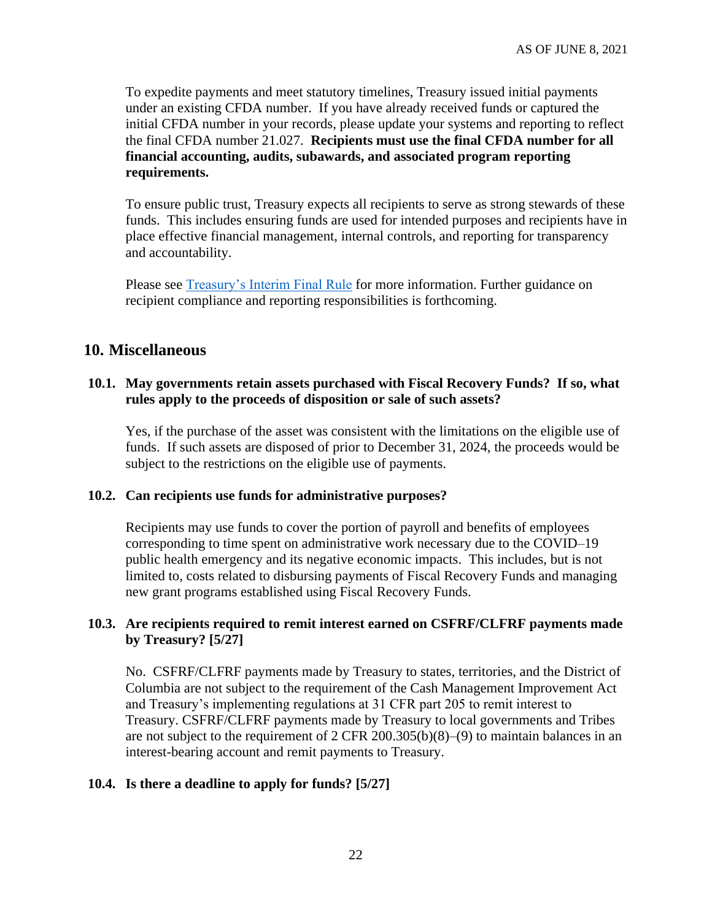To expedite payments and meet statutory timelines, Treasury issued initial payments under an existing CFDA number. If you have already received funds or captured the initial CFDA number in your records, please update your systems and reporting to reflect the final CFDA number 21.027. **Recipients must use the final CFDA number for all financial accounting, audits, subawards, and associated program reporting requirements.**

To ensure public trust, Treasury expects all recipients to serve as strong stewards of these funds. This includes ensuring funds are used for intended purposes and recipients have in place effective financial management, internal controls, and reporting for transparency and accountability.

Please see [Treasury's Interim Final Rule](https://www.govinfo.gov/content/pkg/FR-2021-05-17/pdf/2021-10283.pdf) for more information. Further guidance on recipient compliance and reporting responsibilities is forthcoming.

## **10. Miscellaneous**

### **10.1. May governments retain assets purchased with Fiscal Recovery Funds? If so, what rules apply to the proceeds of disposition or sale of such assets?**

Yes, if the purchase of the asset was consistent with the limitations on the eligible use of funds. If such assets are disposed of prior to December 31, 2024, the proceeds would be subject to the restrictions on the eligible use of payments.

#### **10.2. Can recipients use funds for administrative purposes?**

Recipients may use funds to cover the portion of payroll and benefits of employees corresponding to time spent on administrative work necessary due to the COVID–19 public health emergency and its negative economic impacts. This includes, but is not limited to, costs related to disbursing payments of Fiscal Recovery Funds and managing new grant programs established using Fiscal Recovery Funds.

### <span id="page-21-0"></span>**10.3. Are recipients required to remit interest earned on CSFRF/CLFRF payments made by Treasury? [5/27]**

No. CSFRF/CLFRF payments made by Treasury to states, territories, and the District of Columbia are not subject to the requirement of the Cash Management Improvement Act and Treasury's implementing regulations at 31 CFR part 205 to remit interest to Treasury. CSFRF/CLFRF payments made by Treasury to local governments and Tribes are not subject to the requirement of 2 CFR 200.305(b)(8)–(9) to maintain balances in an interest-bearing account and remit payments to Treasury.

#### <span id="page-21-1"></span>**10.4. Is there a deadline to apply for funds? [5/27]**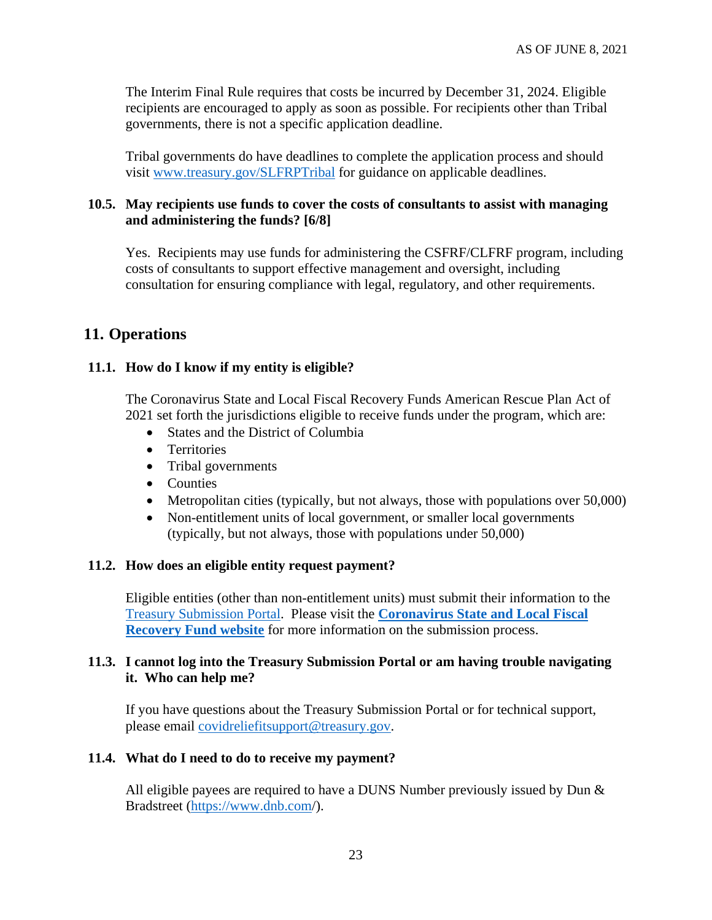The Interim Final Rule requires that costs be incurred by December 31, 2024. Eligible recipients are encouraged to apply as soon as possible. For recipients other than Tribal governments, there is not a specific application deadline.

Tribal governments do have deadlines to complete the application process and should visit [www.treasury.gov/SLFRPTribal](http://www.treasury.gov/SLFRPTribal) for guidance on applicable deadlines.

### <span id="page-22-0"></span>**10.5. May recipients use funds to cover the costs of consultants to assist with managing and administering the funds? [6/8]**

Yes. Recipients may use funds for administering the CSFRF/CLFRF program, including costs of consultants to support effective management and oversight, including consultation for ensuring compliance with legal, regulatory, and other requirements.

# **11. Operations**

## **11.1. How do I know if my entity is eligible?**

The Coronavirus State and Local Fiscal Recovery Funds American Rescue Plan Act of 2021 set forth the jurisdictions eligible to receive funds under the program, which are:

- States and the District of Columbia
- Territories
- Tribal governments
- Counties
- Metropolitan cities (typically, but not always, those with populations over 50,000)
- Non-entitlement units of local government, or smaller local governments (typically, but not always, those with populations under 50,000)

#### **11.2. How does an eligible entity request payment?**

Eligible entities (other than non-entitlement units) must submit their information to the [Treasury Submission Portal.](https://portal.treasury.gov/cares/s/slt) Please visit the **[Coronavirus State and Local Fiscal](https://home.treasury.gov/policy-issues/coronavirus/assistance-for-state-local-and-tribal-governments/state-and-local-fiscal-recovery-fund)  [Recovery Fund website](https://home.treasury.gov/policy-issues/coronavirus/assistance-for-state-local-and-tribal-governments/state-and-local-fiscal-recovery-fund)** for more information on the submission process.

## **11.3. I cannot log into the Treasury Submission Portal or am having trouble navigating it. Who can help me?**

If you have questions about the Treasury Submission Portal or for technical support, please email [covidreliefitsupport@treasury.gov.](mailto:covidreliefitsupport@treasury.gov)

#### **11.4. What do I need to do to receive my payment?**

All eligible payees are required to have a DUNS Number previously issued by Dun  $\&$ Bradstreet [\(https://www.dnb.com/](https://www.dnb.com/)).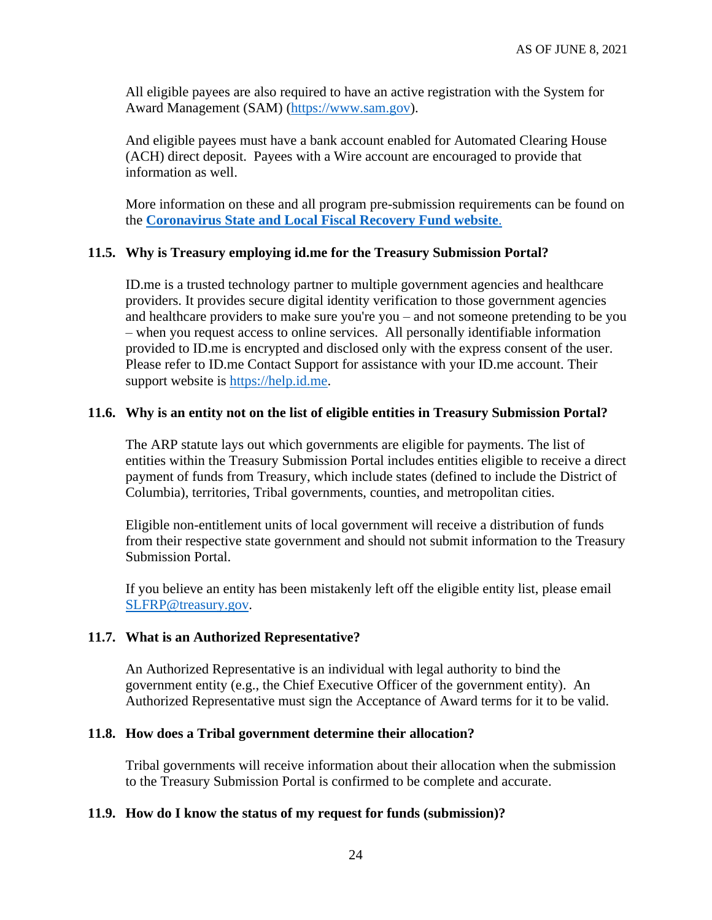All eligible payees are also required to have an active registration with the System for Award Management (SAM) [\(https://www.sam.gov\)](https://www.sam.gov/).

And eligible payees must have a bank account enabled for Automated Clearing House (ACH) direct deposit. Payees with a Wire account are encouraged to provide that information as well.

More information on these and all program pre-submission requirements can be found on the **[Coronavirus State and Local Fiscal Recovery Fund website](https://home.treasury.gov/policy-issues/coronavirus/assistance-for-state-local-and-tribal-governments/state-and-local-fiscal-recovery-fund)**.

## **11.5. Why is Treasury employing id.me for the Treasury Submission Portal?**

ID.me is a trusted technology partner to multiple government agencies and healthcare providers. It provides secure digital identity verification to those government agencies and healthcare providers to make sure you're you – and not someone pretending to be you – when you request access to online services. All personally identifiable information provided to ID.me is encrypted and disclosed only with the express consent of the user. Please refer to ID.me Contact Support for assistance with your ID.me account. Their support website is [https://help.id.me.](https://help.id.me/)

#### **11.6. Why is an entity not on the list of eligible entities in Treasury Submission Portal?**

The ARP statute lays out which governments are eligible for payments. The list of entities within the Treasury Submission Portal includes entities eligible to receive a direct payment of funds from Treasury, which include states (defined to include the District of Columbia), territories, Tribal governments, counties, and metropolitan cities.

Eligible non-entitlement units of local government will receive a distribution of funds from their respective state government and should not submit information to the Treasury Submission Portal.

If you believe an entity has been mistakenly left off the eligible entity list, please email [SLFRP@treasury.gov.](mailto:SLFRP@treasury.gov)

#### **11.7. What is an Authorized Representative?**

An Authorized Representative is an individual with legal authority to bind the government entity (e.g., the Chief Executive Officer of the government entity). An Authorized Representative must sign the Acceptance of Award terms for it to be valid.

#### **11.8. How does a Tribal government determine their allocation?**

Tribal governments will receive information about their allocation when the submission to the Treasury Submission Portal is confirmed to be complete and accurate.

#### **11.9. How do I know the status of my request for funds (submission)?**